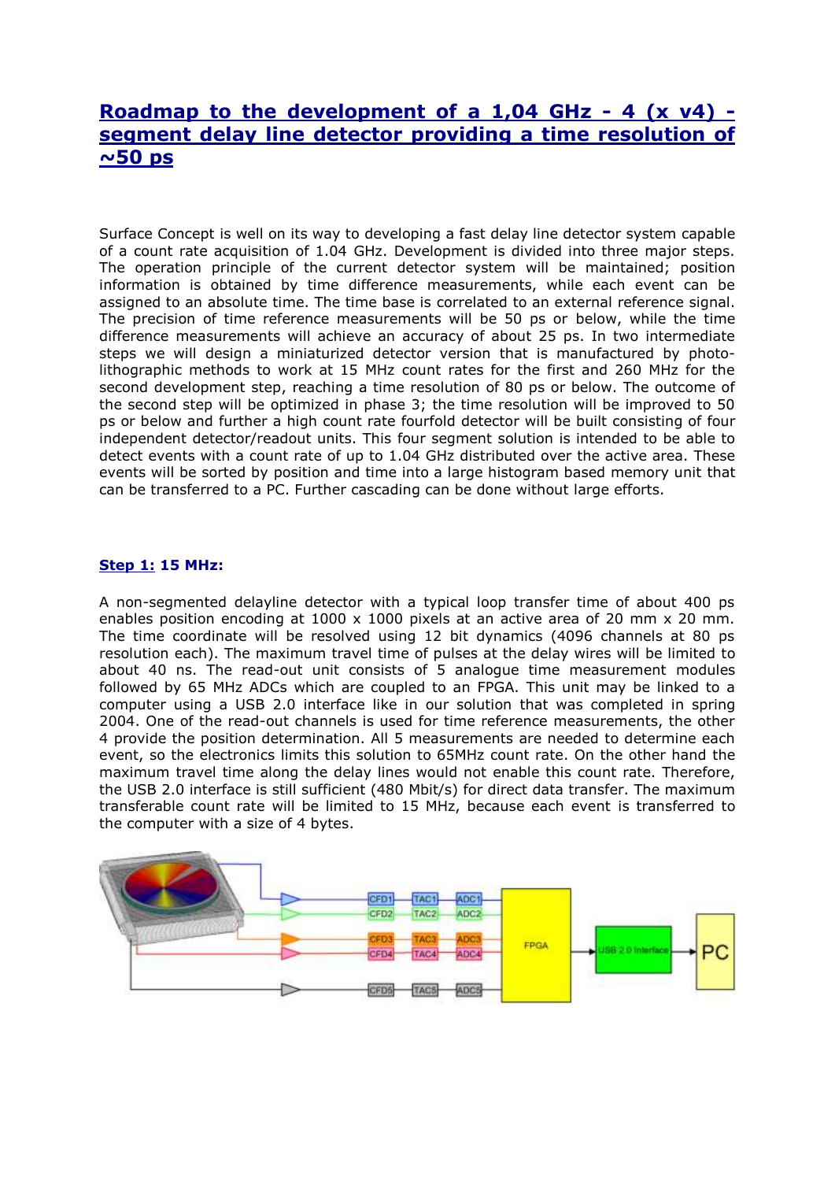# **Roadmap to the development of a 1,04 GHz - 4 (x v4) segment delay line detector providing a time resolution of ~50 ps**

Surface Concept is well on its way to developing a fast delay line detector system capable of a count rate acquisition of 1.04 GHz. Development is divided into three major steps. The operation principle of the current detector system will be maintained; position information is obtained by time difference measurements, while each event can be assigned to an absolute time. The time base is correlated to an external reference signal. The precision of time reference measurements will be 50 ps or below, while the time difference measurements will achieve an accuracy of about 25 ps. In two intermediate steps we will design a miniaturized detector version that is manufactured by photolithographic methods to work at 15 MHz count rates for the first and 260 MHz for the second development step, reaching a time resolution of 80 ps or below. The outcome of the second step will be optimized in phase 3; the time resolution will be improved to 50 ps or below and further a high count rate fourfold detector will be built consisting of four independent detector/readout units. This four segment solution is intended to be able to detect events with a count rate of up to 1.04 GHz distributed over the active area. These events will be sorted by position and time into a large histogram based memory unit that can be transferred to a PC. Further cascading can be done without large efforts.

### **Step 1: 15 MHz:**

A non-segmented delayline detector with a typical loop transfer time of about 400 ps enables position encoding at  $1000 \times 1000$  pixels at an active area of 20 mm x 20 mm. The time coordinate will be resolved using 12 bit dynamics (4096 channels at 80 ps resolution each). The maximum travel time of pulses at the delay wires will be limited to about 40 ns. The read-out unit consists of 5 analogue time measurement modules followed by 65 MHz ADCs which are coupled to an FPGA. This unit may be linked to a computer using a USB 2.0 interface like in our solution that was completed in spring 2004. One of the read-out channels is used for time reference measurements, the other 4 provide the position determination. All 5 measurements are needed to determine each event, so the electronics limits this solution to 65MHz count rate. On the other hand the maximum travel time along the delay lines would not enable this count rate. Therefore, the USB 2.0 interface is still sufficient (480 Mbit/s) for direct data transfer. The maximum transferable count rate will be limited to 15 MHz, because each event is transferred to the computer with a size of 4 bytes.

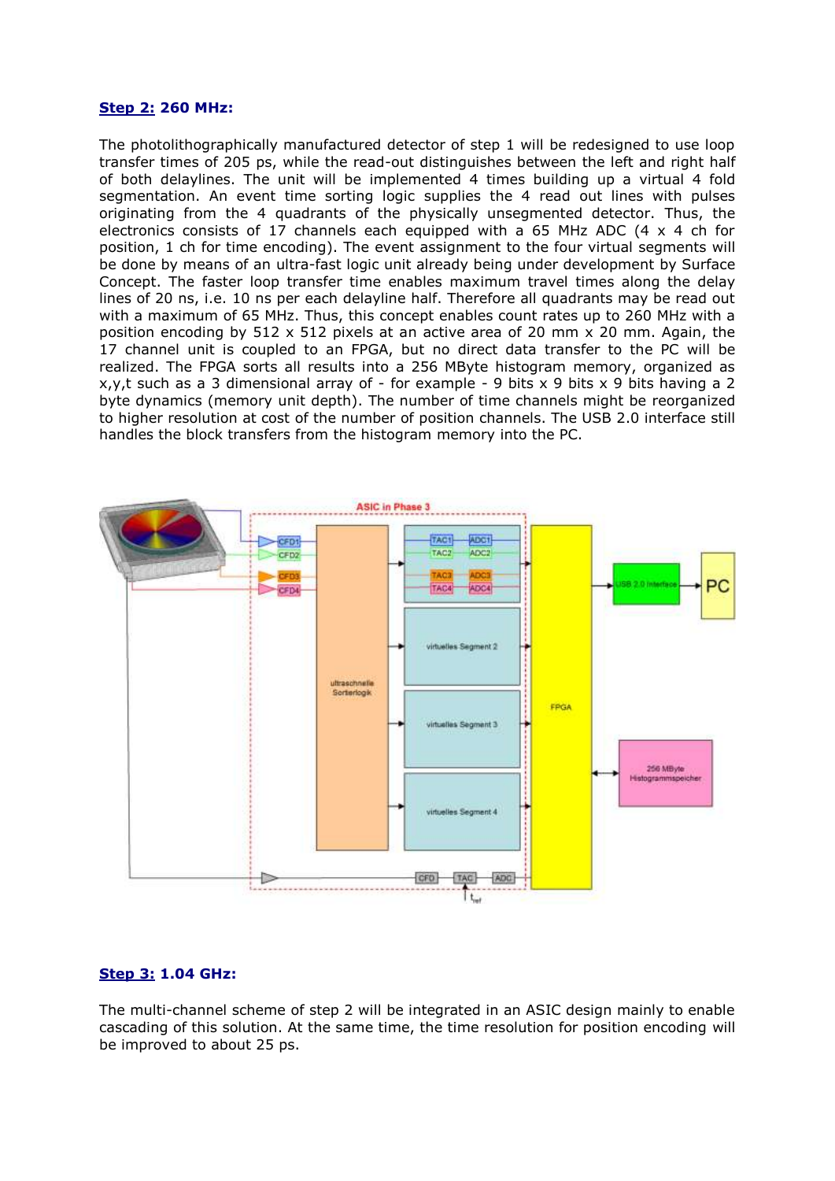#### **Step 2: 260 MHz:**

The photolithographically manufactured detector of step 1 will be redesigned to use loop transfer times of 205 ps, while the read-out distinguishes between the left and right half of both delaylines. The unit will be implemented 4 times building up a virtual 4 fold segmentation. An event time sorting logic supplies the 4 read out lines with pulses originating from the 4 quadrants of the physically unsegmented detector. Thus, the electronics consists of 17 channels each equipped with a 65 MHz ADC  $(4 \times 4$  ch for position, 1 ch for time encoding). The event assignment to the four virtual segments will be done by means of an ultra-fast logic unit already being under development by Surface Concept. The faster loop transfer time enables maximum travel times along the delay lines of 20 ns, i.e. 10 ns per each delayline half. Therefore all quadrants may be read out with a maximum of 65 MHz. Thus, this concept enables count rates up to 260 MHz with a position encoding by 512 x 512 pixels at an active area of 20 mm  $\times$  20 mm. Again, the 17 channel unit is coupled to an FPGA, but no direct data transfer to the PC will be realized. The FPGA sorts all results into a 256 MByte histogram memory, organized as  $x,y,t$  such as a 3 dimensional array of - for example - 9 bits x 9 bits x 9 bits having a 2 byte dynamics (memory unit depth). The number of time channels might be reorganized to higher resolution at cost of the number of position channels. The USB 2.0 interface still handles the block transfers from the histogram memory into the PC.



#### **Step 3: 1.04 GHz:**

The multi-channel scheme of step 2 will be integrated in an ASIC design mainly to enable cascading of this solution. At the same time, the time resolution for position encoding will be improved to about 25 ps.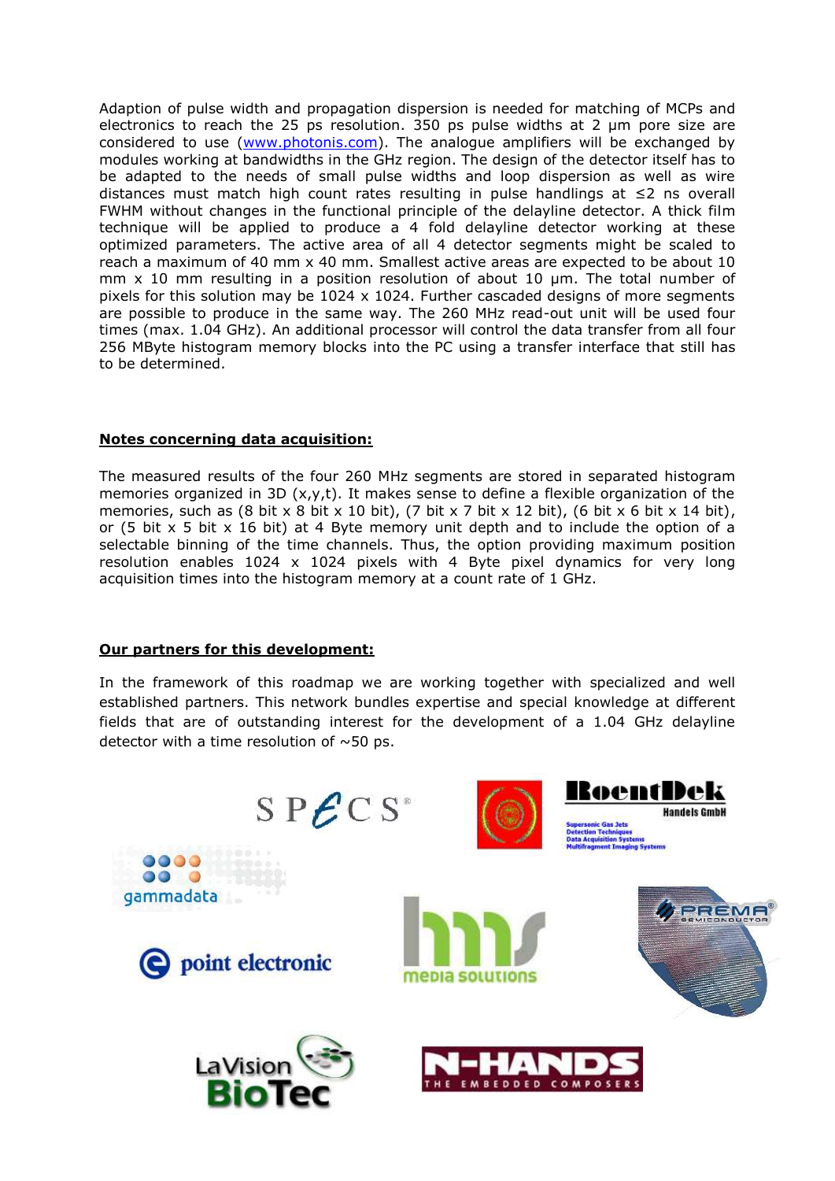Adaption of pulse width and propagation dispersion is needed for matching of MCPs and electronics to reach the 25 ps resolution. 350 ps pulse widths at 2 um pore size are considered to use [\(www.photonis.com\)](http://www.photonis.com/). The analogue amplifiers will be exchanged by modules working at bandwidths in the GHz region. The design of the detector itself has to be adapted to the needs of small pulse widths and loop dispersion as well as wire distances must match high count rates resulting in pulse handlings at ≤2 ns overall FWHM without changes in the functional principle of the delayline detector. A thick film technique will be applied to produce a 4 fold delayline detector working at these optimized parameters. The active area of all 4 detector segments might be scaled to reach a maximum of 40 mm x 40 mm. Smallest active areas are expected to be about 10  $mm \times 10$  mm resulting in a position resolution of about 10  $µm$ . The total number of pixels for this solution may be 1024 x 1024. Further cascaded designs of more segments are possible to produce in the same way. The 260 MHz read-out unit will be used four times (max. 1.04 GHz). An additional processor will control the data transfer from all four 256 MByte histogram memory blocks into the PC using a transfer interface that still has to be determined.

## **Notes concerning data acquisition:**

The measured results of the four 260 MHz segments are stored in separated histogram memories organized in 3D ( $x, y, t$ ). It makes sense to define a flexible organization of the memories, such as (8 bit x 8 bit x 10 bit), (7 bit x 7 bit x 12 bit), (6 bit x 6 bit x 14 bit), or (5 bit  $x$  5 bit  $x$  16 bit) at 4 Byte memory unit depth and to include the option of a selectable binning of the time channels. Thus, the option providing maximum position resolution enables  $1024 \times 1024$  pixels with 4 Byte pixel dynamics for very long acquisition times into the histogram memory at a count rate of 1 GHz.

#### **Our partners for this development:**

0000  $\bullet$ gammadata

In the framework of this roadmap we are working together with specialized and well established partners. This network bundles expertise and special knowledge at different fields that are of outstanding interest for the development of a 1.04 GHz delayline detector with a time resolution of  $\sim$ 50 ps.













**Q** point electronic